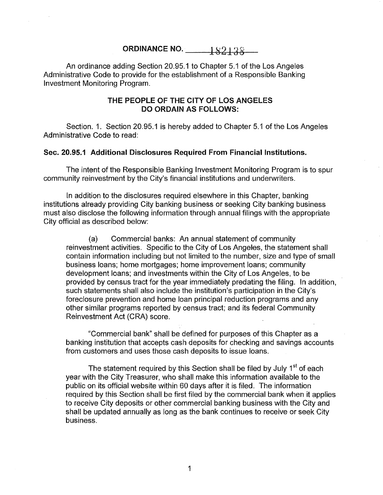ORDINANCE NO. 182138

An ordinance adding Section 20.95.1 to Chapter 5.1 of the Los Angeles Administrative Code to provide for the establishment of a Responsible Banking Investment Monitoring Program.

## THE PEOPLE OF THE CITY OF LOS ANGELES DO ORDAIN AS FOLLOWS:

Section. 1. Section 20.95.1 is hereby added to Chapter 5.1 of the Los Angeles Administrative Code to read:

## Sec. 20.95.1 Additional Disclosures Required From Financial Institutions.

The intent of the Responsible Banking Investment Monitoring Program is to spur community reinvestment by the City's financial institutions and underwriters.

In addition to the disclosures required elsewhere in this Chapter, banking institutions already providing City banking business or seeking City banking business must also disclose the following information through annual filings with the appropriate City official as described below:

(a) Commercial banks: An annual statement of community reinvestment activities. Specific to the City of Los Angeles, the statement shall contain information including but not limited to the number, size and type of small business loans; home mortgages; home improvement loans; community development loans; and investments within the City of Los Angeles, to be provided by census tract for the year immediately predating the filing. In addition, such statements shall also include the institution's participation in the City's foreclosure prevention and home loan principal reduction programs and any other similar programs reported by census tract; and its federal Community Reinvestment Act (CRA) score.

"Commercial bank" shall be defined for purposes of this Chapter as a banking institution that accepts cash deposits for checking and savings accounts from customers and uses those cash deposits to issue loans.

The statement required by this Section shall be filed by July 1<sup>st</sup> of each year with the City Treasurer, who shall make this information available to the public on its official website within 60 days after it is filed. The information required by this Section shall be first filed by the commercial bank when it applies to receive City deposits or other commercial banking business with the City and shall be updated annually as long as the bank continues to receive or seek City business.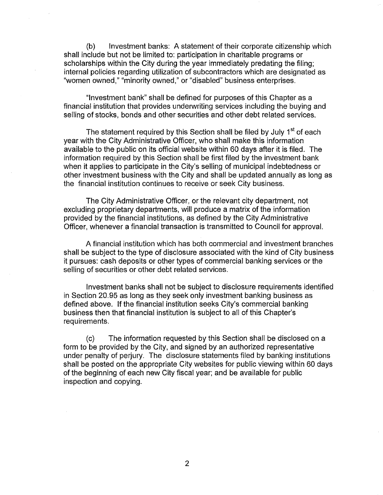(b) Investment banks: A statement of their corporate citizenship which shall include but not be limited to: participation in charitable programs or scholarships within the City during the year immediately predating the filing; internal policies regarding utilization of subcontractors which are designated as "women owned," "minority owned," or "disabled" business enterprises.

"Investment bank" shall be defined for purposes of this Chapter as a financial institution that provides underwriting services including the buying and selling of stocks, bonds and other securities and other debt related services.

The statement required by this Section shall be filed by July 1<sup>st</sup> of each year with the City Administrative Officer, who shall make this information available to the public on its official website within 60 days after it is filed. The information required by this Section shall be first filed by the investment bank when it applies to participate in the City's selling of municipal indebtedness or other investment business with the City and shall be updated annually as long as the financial institution continues to receive or seek City business.

The City Administrative Officer, or the relevant city department, not excluding proprietary departments, will produce a matrix of the information provided by the financial institutions, as defined by the City Administrative Officer, whenever a financial transaction is transmitted to Council for approval.

A financial institution which has both commercial and investment branches shall be subject to the type of disclosure associated with the kind of City business it pursues: cash deposits or other types of commercial banking services or the selling of securities or other debt related services.

Investment banks shall not be subject to disclosure requirements identified in Section 20.95 as long as they seek only investment banking business as defined above. If the financial institution seeks City's commercial banking business then that financial institution is subject to all of this Chapter's requirements.

(c) The information requested by this Section shall be disclosed on a form to be provided by the City, and signed by an authorized representative under penalty of perjury. The disclosure statements filed by banking institutions shall be posted on the appropriate City websites for public viewing within 60 days of the beginning of each new City fiscal year; and be available for public inspection and copying.

2